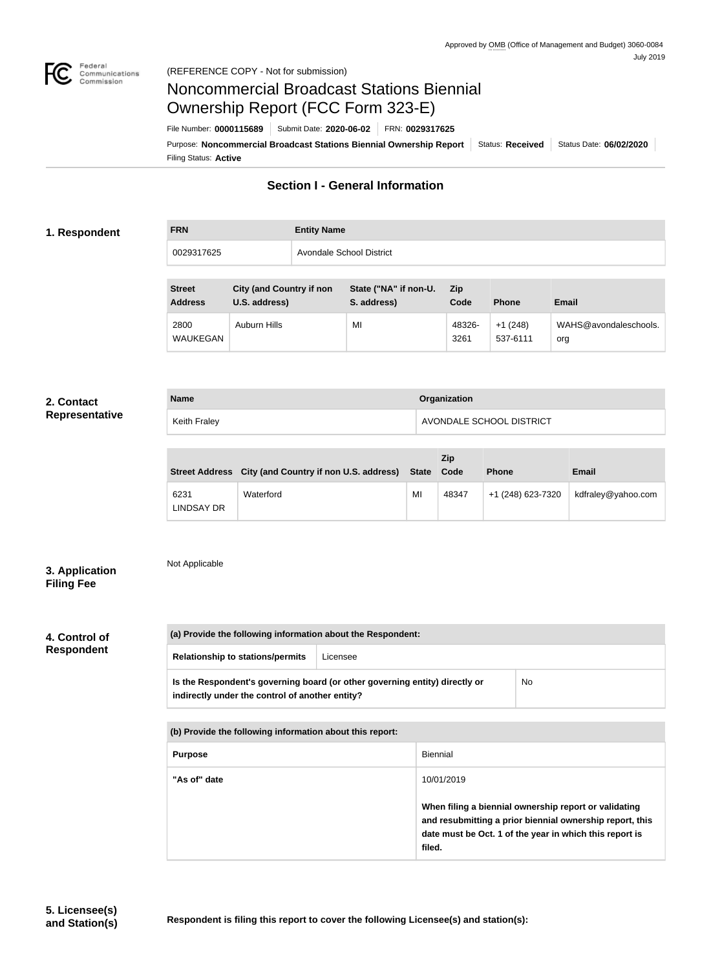

# Noncommercial Broadcast Stations Biennial Ownership Report (FCC Form 323-E)

Filing Status: **Active** Purpose: **Noncommercial Broadcast Stations Biennial Ownership Report** Status: Received Status Date: 06/02/2020 File Number: **0000115689** Submit Date: **2020-06-02** FRN: **0029317625**

## **Section I - General Information**

#### **1. Respondent**

| <b>FRN</b> | <b>Entity Name</b>       |
|------------|--------------------------|
| 0029317625 | Avondale School District |

| <b>Street</b><br><b>Address</b> | <b>City (and Country if non</b><br>U.S. address) | State ("NA" if non-U.<br>S. address) | Zip<br>Code    | <b>Phone</b>          | <b>Email</b>                 |
|---------------------------------|--------------------------------------------------|--------------------------------------|----------------|-----------------------|------------------------------|
| 2800<br><b>WAUKEGAN</b>         | Auburn Hills                                     | MI                                   | 48326-<br>3261 | $+1(248)$<br>537-6111 | WAHS@avondaleschools.<br>org |

#### **2. Contact Representative**

|  | Representative |  |
|--|----------------|--|
|  |                |  |

| <b>Name</b>  | Organization             |
|--------------|--------------------------|
| Keith Fraley | AVONDALE SCHOOL DISTRICT |

|                           | Street Address City (and Country if non U.S. address) State Code |    | <b>Zip</b> | <b>Phone</b>      | <b>Email</b>       |
|---------------------------|------------------------------------------------------------------|----|------------|-------------------|--------------------|
| 6231<br><b>LINDSAY DR</b> | Waterford                                                        | MI | 48347      | +1 (248) 623-7320 | kdfraley@yahoo.com |

## **3. Application Filing Fee**

Not Applicable

**4. Control of** 

**Respondent**

| <b>Relationship to stations/permits</b>         | Licensee                                                                    |    |  |
|-------------------------------------------------|-----------------------------------------------------------------------------|----|--|
| indirectly under the control of another entity? | Is the Respondent's governing board (or other governing entity) directly or | No |  |

| (b) Provide the following information about this report: |                                                                                                                                                                                        |
|----------------------------------------------------------|----------------------------------------------------------------------------------------------------------------------------------------------------------------------------------------|
| <b>Purpose</b>                                           | Biennial                                                                                                                                                                               |
| "As of" date                                             | 10/01/2019                                                                                                                                                                             |
|                                                          | When filing a biennial ownership report or validating<br>and resubmitting a prior biennial ownership report, this<br>date must be Oct. 1 of the year in which this report is<br>filed. |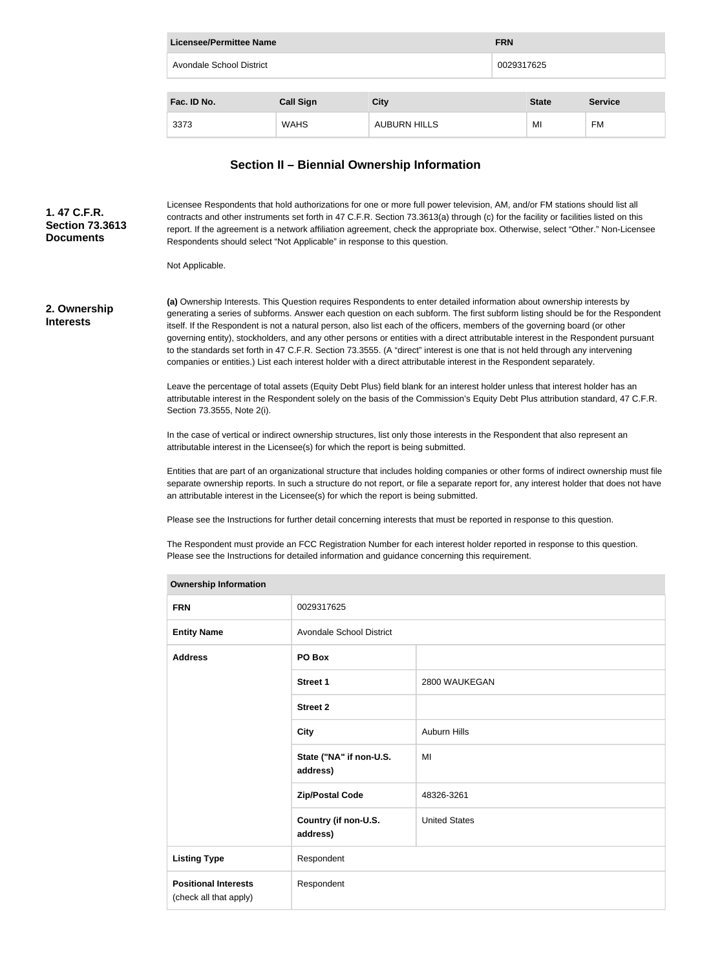| <b>FRN</b><br>Licensee/Permittee Name  |                  |                     |  |              |                |
|----------------------------------------|------------------|---------------------|--|--------------|----------------|
| Avondale School District<br>0029317625 |                  |                     |  |              |                |
| Fac. ID No.                            | <b>Call Sign</b> | <b>City</b>         |  | <b>State</b> | <b>Service</b> |
| 3373                                   | <b>WAHS</b>      | <b>AUBURN HILLS</b> |  | MI           | <b>FM</b>      |

## **Section II – Biennial Ownership Information**

| 1.47 C.F.R.<br><b>Section 73.3613</b><br><b>Documents</b> | Licensee Respondents that hold authorizations for one or more full power television, AM, and/or FM stations should list all<br>contracts and other instruments set forth in 47 C.F.R. Section 73.3613(a) through (c) for the facility or facilities listed on this<br>report. If the agreement is a network affiliation agreement, check the appropriate box. Otherwise, select "Other." Non-Licensee<br>Respondents should select "Not Applicable" in response to this question.                                                                                                                                                                                                                                                                                                   |                                     |               |  |  |
|-----------------------------------------------------------|-------------------------------------------------------------------------------------------------------------------------------------------------------------------------------------------------------------------------------------------------------------------------------------------------------------------------------------------------------------------------------------------------------------------------------------------------------------------------------------------------------------------------------------------------------------------------------------------------------------------------------------------------------------------------------------------------------------------------------------------------------------------------------------|-------------------------------------|---------------|--|--|
|                                                           | Not Applicable.                                                                                                                                                                                                                                                                                                                                                                                                                                                                                                                                                                                                                                                                                                                                                                     |                                     |               |  |  |
| 2. Ownership<br><b>Interests</b>                          | (a) Ownership Interests. This Question requires Respondents to enter detailed information about ownership interests by<br>generating a series of subforms. Answer each question on each subform. The first subform listing should be for the Respondent<br>itself. If the Respondent is not a natural person, also list each of the officers, members of the governing board (or other<br>governing entity), stockholders, and any other persons or entities with a direct attributable interest in the Respondent pursuant<br>to the standards set forth in 47 C.F.R. Section 73.3555. (A "direct" interest is one that is not held through any intervening<br>companies or entities.) List each interest holder with a direct attributable interest in the Respondent separately. |                                     |               |  |  |
|                                                           | Leave the percentage of total assets (Equity Debt Plus) field blank for an interest holder unless that interest holder has an<br>attributable interest in the Respondent solely on the basis of the Commission's Equity Debt Plus attribution standard, 47 C.F.R.<br>Section 73.3555, Note 2(i).                                                                                                                                                                                                                                                                                                                                                                                                                                                                                    |                                     |               |  |  |
|                                                           | In the case of vertical or indirect ownership structures, list only those interests in the Respondent that also represent an<br>attributable interest in the Licensee(s) for which the report is being submitted.                                                                                                                                                                                                                                                                                                                                                                                                                                                                                                                                                                   |                                     |               |  |  |
|                                                           | Entities that are part of an organizational structure that includes holding companies or other forms of indirect ownership must file<br>separate ownership reports. In such a structure do not report, or file a separate report for, any interest holder that does not have<br>an attributable interest in the Licensee(s) for which the report is being submitted.                                                                                                                                                                                                                                                                                                                                                                                                                |                                     |               |  |  |
|                                                           | Please see the Instructions for further detail concerning interests that must be reported in response to this question.                                                                                                                                                                                                                                                                                                                                                                                                                                                                                                                                                                                                                                                             |                                     |               |  |  |
|                                                           | The Respondent must provide an FCC Registration Number for each interest holder reported in response to this question.<br>Please see the Instructions for detailed information and guidance concerning this requirement.                                                                                                                                                                                                                                                                                                                                                                                                                                                                                                                                                            |                                     |               |  |  |
|                                                           | <b>Ownership Information</b>                                                                                                                                                                                                                                                                                                                                                                                                                                                                                                                                                                                                                                                                                                                                                        |                                     |               |  |  |
|                                                           | <b>FRN</b>                                                                                                                                                                                                                                                                                                                                                                                                                                                                                                                                                                                                                                                                                                                                                                          | 0029317625                          |               |  |  |
|                                                           | <b>Entity Name</b>                                                                                                                                                                                                                                                                                                                                                                                                                                                                                                                                                                                                                                                                                                                                                                  | <b>Avondale School District</b>     |               |  |  |
|                                                           | <b>Address</b>                                                                                                                                                                                                                                                                                                                                                                                                                                                                                                                                                                                                                                                                                                                                                                      | PO Box                              |               |  |  |
|                                                           |                                                                                                                                                                                                                                                                                                                                                                                                                                                                                                                                                                                                                                                                                                                                                                                     | <b>Street 1</b>                     | 2800 WAUKEGAN |  |  |
|                                                           |                                                                                                                                                                                                                                                                                                                                                                                                                                                                                                                                                                                                                                                                                                                                                                                     | <b>Street 2</b>                     |               |  |  |
|                                                           |                                                                                                                                                                                                                                                                                                                                                                                                                                                                                                                                                                                                                                                                                                                                                                                     | <b>City</b>                         | Auburn Hills  |  |  |
|                                                           |                                                                                                                                                                                                                                                                                                                                                                                                                                                                                                                                                                                                                                                                                                                                                                                     | State ("NA" if non-U.S.<br>address) | MI            |  |  |
|                                                           |                                                                                                                                                                                                                                                                                                                                                                                                                                                                                                                                                                                                                                                                                                                                                                                     |                                     |               |  |  |

**Zip/Postal Code** 48326-3261

United States

**Country (if non-U.S.** 

**address)**

Respondent

**Listing Type** Respondent

**Positional Interests** (check all that apply)